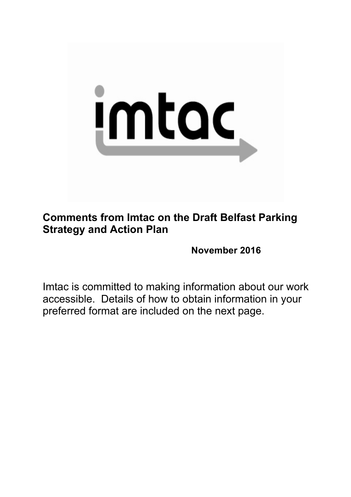

**Comments from Imtac on the Draft Belfast Parking Strategy and Action Plan**

**November 2016**

Imtac is committed to making information about our work accessible. Details of how to obtain information in your preferred format are included on the next page.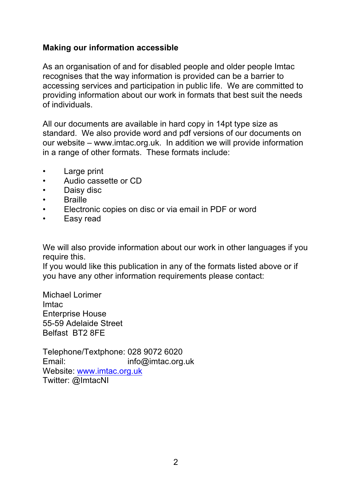### **Making our information accessible**

As an organisation of and for disabled people and older people Imtac recognises that the way information is provided can be a barrier to accessing services and participation in public life. We are committed to providing information about our work in formats that best suit the needs of individuals.

All our documents are available in hard copy in 14pt type size as standard. We also provide word and pdf versions of our documents on our website – www.imtac.org.uk. In addition we will provide information in a range of other formats. These formats include:

- Large print
- Audio cassette or CD
- Daisy disc
- Braille
- Electronic copies on disc or via email in PDF or word
- Easy read

We will also provide information about our work in other languages if you require this.

If you would like this publication in any of the formats listed above or if you have any other information requirements please contact:

Michael Lorimer Imtac Enterprise House 55-59 Adelaide Street Belfast BT2 8FE

Telephone/Textphone: 028 9072 6020 Email: info@imtac.org.uk Website: www.imtac.org.uk Twitter: @ImtacNI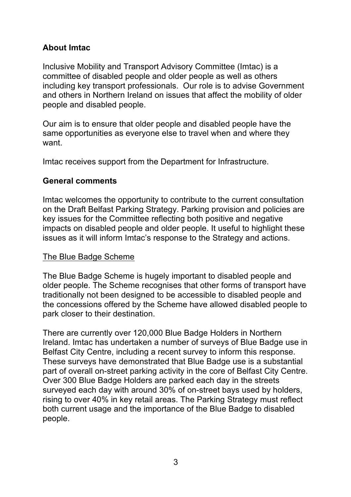# **About Imtac**

Inclusive Mobility and Transport Advisory Committee (Imtac) is a committee of disabled people and older people as well as others including key transport professionals. Our role is to advise Government and others in Northern Ireland on issues that affect the mobility of older people and disabled people.

Our aim is to ensure that older people and disabled people have the same opportunities as everyone else to travel when and where they want.

Imtac receives support from the Department for Infrastructure.

# **General comments**

Imtac welcomes the opportunity to contribute to the current consultation on the Draft Belfast Parking Strategy. Parking provision and policies are key issues for the Committee reflecting both positive and negative impacts on disabled people and older people. It useful to highlight these issues as it will inform Imtac's response to the Strategy and actions.

# The Blue Badge Scheme

The Blue Badge Scheme is hugely important to disabled people and older people. The Scheme recognises that other forms of transport have traditionally not been designed to be accessible to disabled people and the concessions offered by the Scheme have allowed disabled people to park closer to their destination.

There are currently over 120,000 Blue Badge Holders in Northern Ireland. Imtac has undertaken a number of surveys of Blue Badge use in Belfast City Centre, including a recent survey to inform this response. These surveys have demonstrated that Blue Badge use is a substantial part of overall on-street parking activity in the core of Belfast City Centre. Over 300 Blue Badge Holders are parked each day in the streets surveyed each day with around 30% of on-street bays used by holders, rising to over 40% in key retail areas. The Parking Strategy must reflect both current usage and the importance of the Blue Badge to disabled people.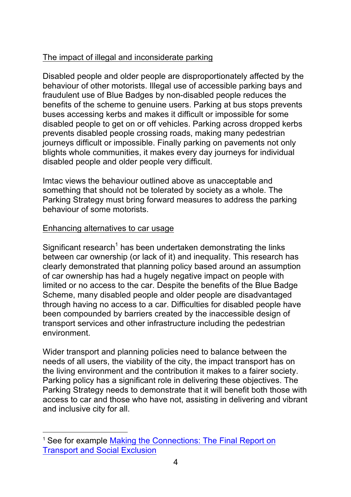# The impact of illegal and inconsiderate parking

Disabled people and older people are disproportionately affected by the behaviour of other motorists. Illegal use of accessible parking bays and fraudulent use of Blue Badges by non-disabled people reduces the benefits of the scheme to genuine users. Parking at bus stops prevents buses accessing kerbs and makes it difficult or impossible for some disabled people to get on or off vehicles. Parking across dropped kerbs prevents disabled people crossing roads, making many pedestrian journeys difficult or impossible. Finally parking on pavements not only blights whole communities, it makes every day journeys for individual disabled people and older people very difficult.

Imtac views the behaviour outlined above as unacceptable and something that should not be tolerated by society as a whole. The Parking Strategy must bring forward measures to address the parking behaviour of some motorists.

### Enhancing alternatives to car usage

Significant research<sup>1</sup> has been undertaken demonstrating the links between car ownership (or lack of it) and inequality. This research has clearly demonstrated that planning policy based around an assumption of car ownership has had a hugely negative impact on people with limited or no access to the car. Despite the benefits of the Blue Badge Scheme, many disabled people and older people are disadvantaged through having no access to a car. Difficulties for disabled people have been compounded by barriers created by the inaccessible design of transport services and other infrastructure including the pedestrian environment.

Wider transport and planning policies need to balance between the needs of all users, the viability of the city, the impact transport has on the living environment and the contribution it makes to a fairer society. Parking policy has a significant role in delivering these objectives. The Parking Strategy needs to demonstrate that it will benefit both those with access to car and those who have not, assisting in delivering and vibrant and inclusive city for all.

 $\overline{a}$ <sup>1</sup> See for example Making the Connections: The Final Report on Transport and Social Exclusion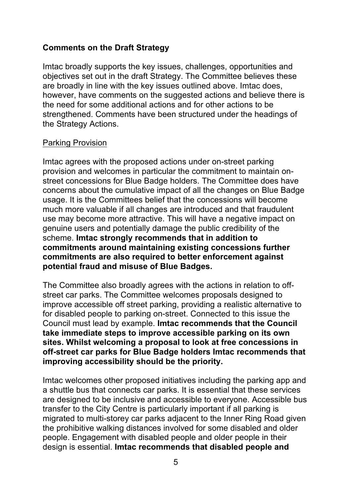## **Comments on the Draft Strategy**

Imtac broadly supports the key issues, challenges, opportunities and objectives set out in the draft Strategy. The Committee believes these are broadly in line with the key issues outlined above. Imtac does, however, have comments on the suggested actions and believe there is the need for some additional actions and for other actions to be strengthened. Comments have been structured under the headings of the Strategy Actions.

#### Parking Provision

Imtac agrees with the proposed actions under on-street parking provision and welcomes in particular the commitment to maintain onstreet concessions for Blue Badge holders. The Committee does have concerns about the cumulative impact of all the changes on Blue Badge usage. It is the Committees belief that the concessions will become much more valuable if all changes are introduced and that fraudulent use may become more attractive. This will have a negative impact on genuine users and potentially damage the public credibility of the scheme. **Imtac strongly recommends that in addition to commitments around maintaining existing concessions further commitments are also required to better enforcement against potential fraud and misuse of Blue Badges.**

The Committee also broadly agrees with the actions in relation to offstreet car parks. The Committee welcomes proposals designed to improve accessible off street parking, providing a realistic alternative to for disabled people to parking on-street. Connected to this issue the Council must lead by example. **Imtac recommends that the Council take immediate steps to improve accessible parking on its own sites. Whilst welcoming a proposal to look at free concessions in off-street car parks for Blue Badge holders Imtac recommends that improving accessibility should be the priority.**

Imtac welcomes other proposed initiatives including the parking app and a shuttle bus that connects car parks. It is essential that these services are designed to be inclusive and accessible to everyone. Accessible bus transfer to the City Centre is particularly important if all parking is migrated to multi-storey car parks adjacent to the Inner Ring Road given the prohibitive walking distances involved for some disabled and older people. Engagement with disabled people and older people in their design is essential. **Imtac recommends that disabled people and**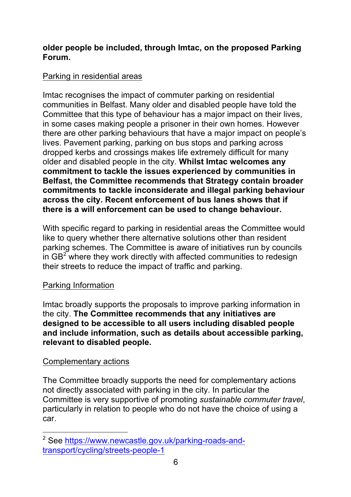### **older people be included, through Imtac, on the proposed Parking Forum.**

## Parking in residential areas

Imtac recognises the impact of commuter parking on residential communities in Belfast. Many older and disabled people have told the Committee that this type of behaviour has a major impact on their lives, in some cases making people a prisoner in their own homes. However there are other parking behaviours that have a major impact on people's lives. Pavement parking, parking on bus stops and parking across dropped kerbs and crossings makes life extremely difficult for many older and disabled people in the city. **Whilst Imtac welcomes any commitment to tackle the issues experienced by communities in Belfast, the Committee recommends that Strategy contain broader commitments to tackle inconsiderate and illegal parking behaviour across the city. Recent enforcement of bus lanes shows that if there is a will enforcement can be used to change behaviour.**

With specific regard to parking in residential areas the Committee would like to query whether there alternative solutions other than resident parking schemes. The Committee is aware of initiatives run by councils in  $GB<sup>2</sup>$  where they work directly with affected communities to redesign their streets to reduce the impact of traffic and parking.

# Parking Information

Imtac broadly supports the proposals to improve parking information in the city. **The Committee recommends that any initiatives are designed to be accessible to all users including disabled people and include information, such as details about accessible parking, relevant to disabled people.**

### Complementary actions

The Committee broadly supports the need for complementary actions not directly associated with parking in the city. In particular the Committee is very supportive of promoting *sustainable commuter travel*, particularly in relation to people who do not have the choice of using a car.

 $\overline{a}$ <sup>2</sup> See https://www.newcastle.gov.uk/parking-roads-andtransport/cycling/streets-people-1